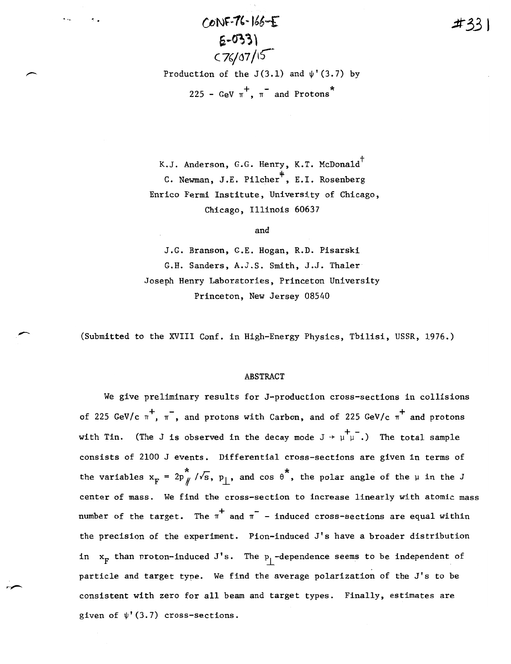·'. CtjNf.~1'-1'6....r *.:tt33* **<sup>J</sup>**  $5 - 033$  $C76/07/15$ Production of the  $J(3.1)$  and  $\psi'(3.7)$  by 225 - GeV  $\pi$ ,  $\pi$  and Protons

K.J. Anderson, G.G. Henry, K.T. McDonald<sup>†</sup> C. Newman, J.E. Pilcher<sup>+</sup>, E.I. Rosenberg Enrico Fermi Institute, University of Chicago, Chicago, Illinois 60637

and

J.G. Branson, G.E. Hogan, R.D. Pisarski G.H. Sanders, A.J.S. Smith, J.J. Thaler Joseph Henry Laboratories, Princeton University Princeton, New Jersey 08540

(Submitted to the XVIII Conf. in High-Energy Physics, Tbilisi, USSR, 1976.)

#### ABSTRACT

We give preliminary results for J-production cross-sections in collisions of 225 GeV/c  $\pi$ ,  $\pi$ , and protons with Carbon, and of 225 GeV/c  $\pi$  and protons with Tin. (The J is observed in the decay mode  $J + \mu^+ \bar{\mu}$ .) The total sample consists of 2100 J events. Differential cross-sections are given in terms of the variables  $x_F = 2p \frac{x}{\sqrt{s}}, p_{\perp}$ , and cos  $\theta^*$ , the polar angle of the  $\mu$  in the J center of mass. We find the cross-section to increase linearly with atomic mass number of the target. The  $\pi^+$  and  $\pi^-$  - induced cross-sections are equal within the precision of the experiment. Pion-induced J's have a broader distribution in  $\mathbf{x}_\mathbf{F}$  than proton-induced J's. The  $\mathbf{p}_\perp$ -dependence seems to be independent of particle and target type. We find the average polarization of the J's to beconsistent with zero for all beam and target types. Finally, estimates are given of  $\psi'(3.7)$  cross-sections.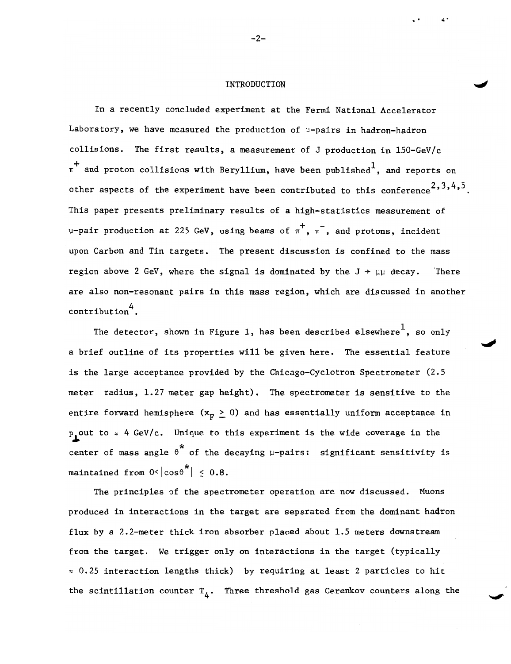## INTRODUCTION

In a recently concluded experiment at the Fermi National Accelerator Laboratory, we have measured the production of  $\mu$ -pairs in hadron-hadron collisions. The first results, a measurement of J production in l50-GeV/c  $\pi^+$  and proton collisions with Beryllium, have been published<sup>1</sup>, and reports on other aspects of the experiment have been contributed to this conference<sup>2</sup>, 3, 4, 5. This paper presents preliminary results of a high-statistics measurement of  $\mu$ -pair production at 225 GeV, using beams of  $\pi^+$ ,  $\pi^-$ , and protons, incident upon Carbon and Tin targets. The present discussion is confined to the mass region above 2 GeV, where the signal is dominated by the  $J \rightarrow \mu\mu$  decay. There are also non-resonant pairs in this mass region, which are discussed in another contribution<sup>4</sup>.

The detector, shown in Figure 1, has been described elsewhere<sup>1</sup>, so only a brief outline of its properties will be given here. The essential feature is the large acceptance provided by the Chicago-Cyclotron Spectrometer (2.5 meter radius, 1.27 meter gap height). The spectrometer is sensitive to the entire forward hemisphere  $(x_F \geq 0)$  and has essentially uniform acceptance in  $p_{\bullet}$ out to  $\approx$  4 GeV/c. Unique to this experiment is the wide coverage in the center of mass angle  $\theta^*$  of the decaying  $\mu$ -pairs: significant sensitivity is maintained from  $0<|cos\theta^*| \leq 0.8$ .

The principles of the spectrometer operation are now discussed. Muons produced in interactions in the target are separated from the dominant ha4ron flux by a 2.2-meter thick iron absorber placed about 1.5 meters downstream from the target. We trigger only on interactions in the target (typically  $\approx$  0.25 interaction lengths thick) by requiring at least 2 particles to hit the scintillation counter  $T_A$ . Three threshold gas Cerenkov counters along the

 $-2-$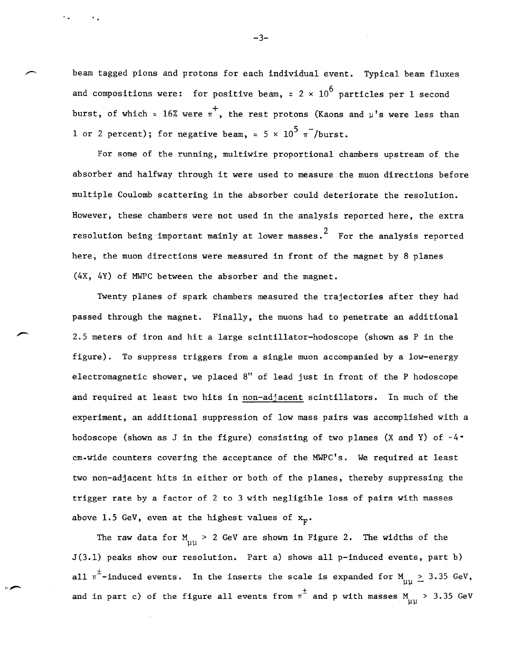beam tagged pions and protons for each individual event. Typical beam fluxes and compositions were: for positive beam,  $\approx 2 \times 10^6$  particles per 1 second burst, of which  $\approx 16\%$  were  $\pi$ , the rest protons (Kaons and  $\mu$ 's were less than 1 or 2 percent); for negative beam,  $\approx$  5  $\times$  10<sup>5</sup>  $\pi$ <sup>-</sup>/burst.

For some of the running, multiwire proportional chambers upstream of the absorber and halfway through it were used to measure the muon directions before multiple Coulomb scattering in the absorber could deteriorate the resolution. However, these chambers were not used in the analysis reported here, the extra resolution being important mainly at lower masses.<sup>2</sup> For the analysis reported here, the muon directions were measured in front of the magnet by 8 planes (4X, 4Y) of MWPC between the absorber and the magnet.

Twenty planes of spark chambers measured the trajectories after they had passed through the magnet. Finally, the muons had to penetrate an additional 2.5 meters of iron and hit a large scintillator-hodoscope (shown as P in the figure). To suppress triggers from a single muon accompanied by a low-energy electromagnetic shower, we placed 8" of lead just in front of the P hodoscope and required at least two hits in non-adjacent scintillators. In much of the experiment, an additional suppression of low mass pairs was accomplished with a hodoscope (shown as J in the figure) consisting of two planes (X and Y) of  $-4$ . cm~wide counters covering the acceptance of the MWPC's. We required at least two non-adjacent hits in either or both of the planes, thereby suppressing the trigger rate by a factor of 2 to 3 with negligible loss of pairs with masses above 1.5 GeV, even at the highest values of  $x_{F}$ .

The raw data for  $M_{\mu\nu}$  > 2 GeV are shown in Figure 2. The widths of the J(3.l) peaks show our resolution. Part a) shows all p-induced events, part b) all  $\pi^{\pm}$ -induced events. In the inserts the scale is expanded for  $_{\mu\mu}$   $\geq$  3.35 GeV, and in part c) of the figure all events from  $\pi^\pm$  and p with masses M  $_{\mu\mu}$  > 3.35 GeV

-3-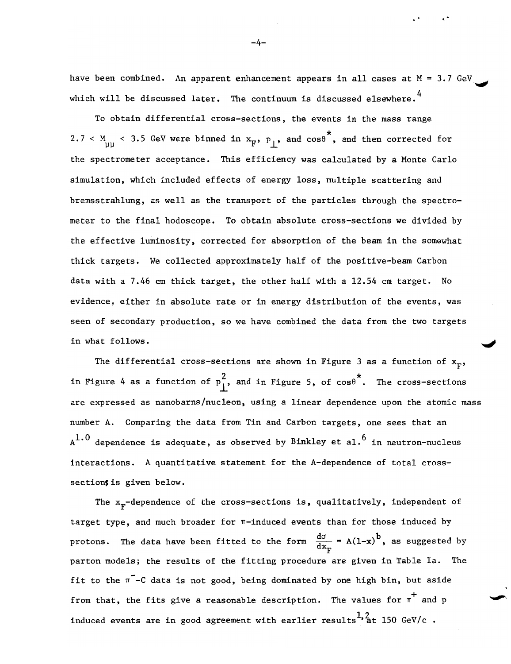have been combined. An apparent enhancement appears in all cases at  $M = 3.7$  GeV. which will be discussed later. The continuum is discussed elsewhere.<sup>4</sup>

To obtain differential cross-sections, the events in the mass range  $2.7 <$  M  $_{\rm \mu\mu}$  < 3.5 GeV were binned in  $\rm x_{F}$ ,  $\rm p_{\perp}$ , and cos $\rm \theta$ <sup>\*</sup>, and then corrected for the spectrometer acceptance. This efficiency was calculated by a Monte Carlo simulation, which included effects of energy loss, multiple scattering and bremsstrahlung, as well as the transport of the particles through the spectrometer to the final hodoscope. To obtain absolute cross-sections we divided by the effective luminosity, corrected for absorption of the beam in the somewhat thick targets. We collected approximately half of the positive-beam Carbon data with a 7.46 em thick target, the other half with a 12.54 em target. No evidence, either in absolute rate or in energy distribution of the events, was seen of secondary production, so we have combined the data from the two targets in what follows.

The differential cross-sections are shown in Figure 3 as a function of  $x_F$ , in Figure 4 as a function of  $p_{\perp}^2$ , and in Figure 5, of cos $\theta^*$ . The cross-sections are expressed as nanobarns/nucleon, using a linear dependence upon the atomic mass number A. Comparing the data from Tin and Carbon targets, one sees that an  $A^{1.0}$  dependence is adequate, as observed by Binkley et al.<sup>6</sup> in neutron-nucleus interactions. A quantitative statement for the A-dependence of total crosssection; is given below.

The  $x_{F}$ -dependence of the cross-sections is, qualitatively, independent of target type, and much broader for n-induced events than for those induced by protons. The data have been fitted to the form  $\frac{d\sigma}{dx_E} = A(1-x)^b$ , as suggested by parton models; the results of the fitting procedure are given in Table la. The fit to the  $\pi$ -C data is not good, being dominated by one high bin, but aside from that, the fits give a reasonable description. The values for  $\pi^+$  and p induced events are in good agreement with earlier results<sup>1,2</sup>at 150 GeV/c.

-4-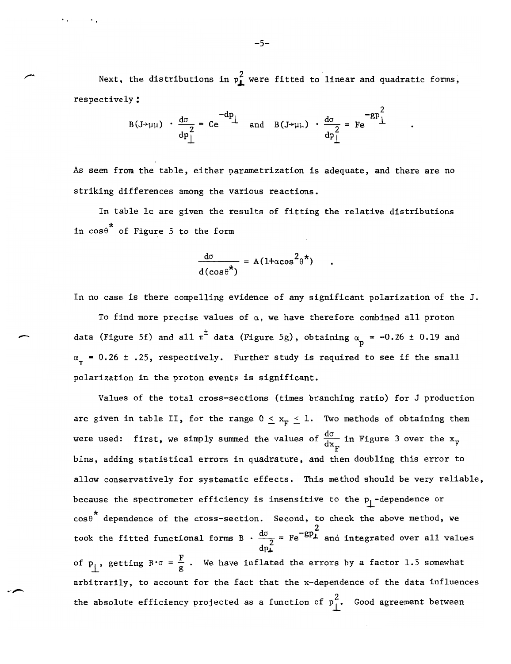Next, the distributions in  $p_{\perp}^2$  were fitted to linear and quadratic forms, respectively:

$$
B(J \rightarrow \mu\mu) \cdot \frac{d\sigma}{dp_{\perp}^2} = Ce^{-dp_{\perp}}
$$
 and 
$$
B(J \rightarrow \mu\mu) \cdot \frac{d\sigma}{dp_{\perp}^2} = Fe^{-gp_{\perp}^2}
$$

As seen from the table, either parametrization is adequate, and there are no striking differences among the various reactions.

In table lc are given the results of fitting the relative distributions in  $cos\theta^*$  of Figure 5 to the form

$$
\frac{d\sigma}{d(\cos\theta^*)} = A(1+\cos^2\theta^*)
$$

In no case is there compelling evidence of any significant polarization of the J.

To find more precise values of  $\alpha$ , we have therefore combined all proton data (Figure 5f) and all  $\pi^{\pm}$  $\frac{d}{dx}$  data (Figure 5f) and all  $\pi^{\pm}$  data (Figure 5g), obtaining  $\alpha_p = -0.26 \pm 0.19$  and  $\alpha_{\pi}$  = 0.26 ± .25, respectively. Further study is required to see if the small polarization in the proton events is significant.

> Values of the total cross-sections (times branching ratio) for J production are given in table II, for the range  $0 \le x_{\overline{k}} \le 1$ . Two methods of obtaining them were used: first, we simply summed the values of  $\frac{d\sigma}{dx}$  in Figure 3 over the x  $x_F$  in righte 5 over the  $x_F$ bins, adding statistical errors in quadrature, and then doubling this error to allow conservatively for systematic effects. This method should be very reliable, because the spectrometer efficiency is insensitive to the  $p_{\perp}$ -dependence or  $\cos\theta^*$  dependence of the cross-section. Second, to check the above method, we took the fitted functional forms B  $\cdot \frac{d\sigma}{2}$  = Fe<sup>-gp</sup>i and integrated over all values  $dp$   $\tilde{L}$ of  $p_{\parallel}$ , getting  $B \cdot \sigma = \frac{F}{g}$ . We have inflated the errors by a factor 1.5 somewhat arbitrarily, to account for the fact that the x-dependence of the data influences the absolute efficiency projected as a function of  $p_1^2$ . Good agreement between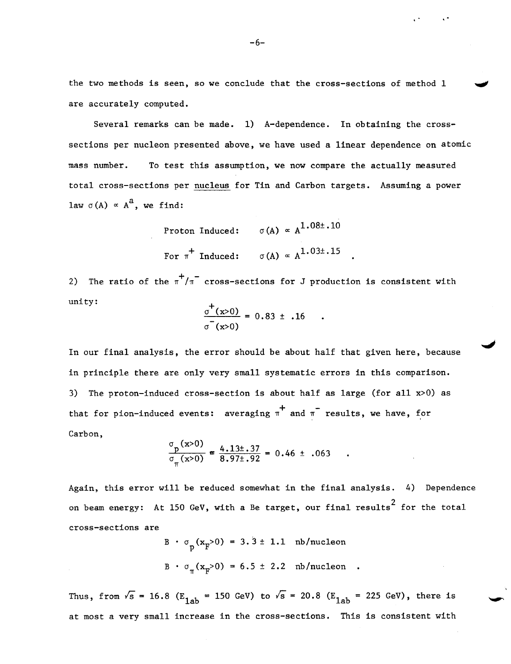the two methods is seen, so we conclude that the cross-sections of method 1 are accurately computed.

Several remarks can be made. 1) A-dependence. In obtaining the crosssections per nucleon presented above, we have used a linear dependence on atomic mass number. To test this assumption, we now compare the actually measured total cross-sections per nucleus for Tin and Carbon targets. Assuming a power law  $\sigma(A) \propto A^a$ , we find:

Proton Induced: 
$$
\sigma(A) \propto A^{1.08\pm .10}
$$
  
For  $\pi^+$  Induced:  $\sigma(A) \propto A^{1.03\pm .15}$ 

2) The ratio of the  $\pi^+/\pi^-$  cross-sections for J production is consistent with unity:  $\sigma^+$ 

$$
\frac{\sigma^+(x>0)}{\sigma^-(x>0)} = 0.83 \pm .16
$$

In our final analysis, the error should be about half that given here, because in principle there are only very small systematic errors in this comparison. 3) The proton-induced cross-section is about half as large (for all x>O) as that for pion-induced events: averaging  $\pi$  and  $\pi$  results, we have, for Carbon,

$$
\frac{\sigma_p(x>0)}{\sigma_\pi(x>0)} \approx \frac{4.13 \pm .37}{8.97 \pm .92} = 0.46 \pm .063
$$

Again, this error will be reduced somewhat in the final analysis. 4) Dependence on beam energy: At 150 GeV, with a Be target, our final results<sup>2</sup> for the total cross-sections are

B 
$$
\sigma_p(x_F>0) = 3.3 \pm 1.1
$$
 nb/nucleon  
B  $\sigma_{\pi}(x_F>0) = 6.5 \pm 2.2$  nb/nucleon

Thus, from  $\sqrt{s}$  = 16.8 (E<sub>1ab</sub> = 150 GeV) to  $\sqrt{s}$  = 20.8 (E<sub>1ab</sub> = 225 GeV), there is at most a very small increase in the cross-sections. This is consistent with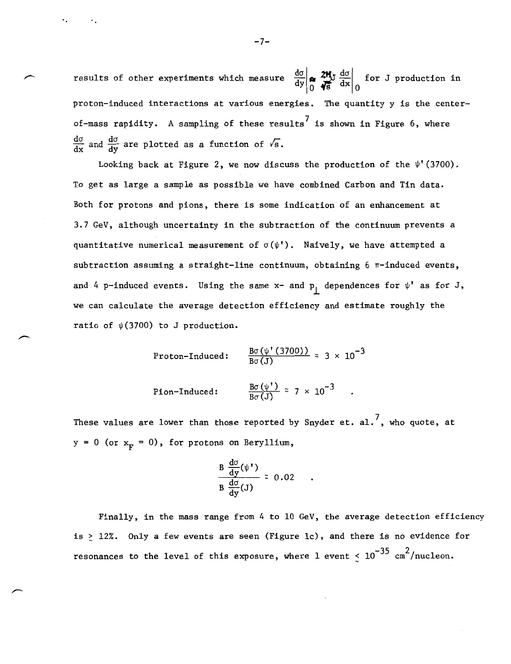results of other experiments which measure  $\frac{d\sigma}{dy}\left|\bigoplus_{n=0}^{\infty}\frac{2M}{dx}\right|_0^{\infty}$  for J production in proton-induced interactions at various energies. The quantity y is the centerof-mass rapidity. A sampling of these results<sup>7</sup> is shown in Figure 6, where  $\frac{d\sigma}{dx}$  and  $\frac{d\sigma}{dy}$  are plotted as a function of  $\sqrt{s}$ .

Looking back at Figure 2, we now discuss the production of the  $\psi'(3700)$ . To get as large a sample as possible we have combined Carbon and Tin data. Both for protons and pions, there is some indication of an enhancement at 3.7 GeV, although uncertainty in the subtraction of the continuum prevents a quantitative numerical measurement of  $\sigma(\psi')$ . Naively, we have attempted a subtraction assuming a straight-line continuum, obtaining  $6 \pi$ -induced events, and 4 p-induced events. Using the same  $x-$  and  $p_1$  dependences for  $\psi'$  as for J, we can calculate the average detection efficiency and estimate roughly the ratio of  $\psi(3700)$  to J production.

Proton-Induced:  $\frac{B\sigma(\psi'(3700))}{B\sigma(J)} \approx 3 \times 10^{-3}$ 

Pion-Induced:  $\frac{B\sigma(\psi')}{B\sigma(J)} \approx 7 \times 10^{-3}$ .

These values are lower than those reported by Snyder et. al.<sup>7</sup>, who quote, at  $y = 0$  (or  $x_F = 0$ ), for protons on Beryllium,

$$
\frac{B\frac{d\sigma}{dy}(\psi')}{B\frac{d\sigma}{dy}(J)} \approx 0.02
$$

Finally, in the mass range from 4 to 10 GeV, the average detection efficiency is > 12%. Only a few events are seen (Figure lc), and there is no evidence for resonances to the level of this exposure, where 1 event  $\stackrel{<}{{}_\sim} 10^{-35}$  cm $^2/\text{nucleon}.$ 

 $-7-$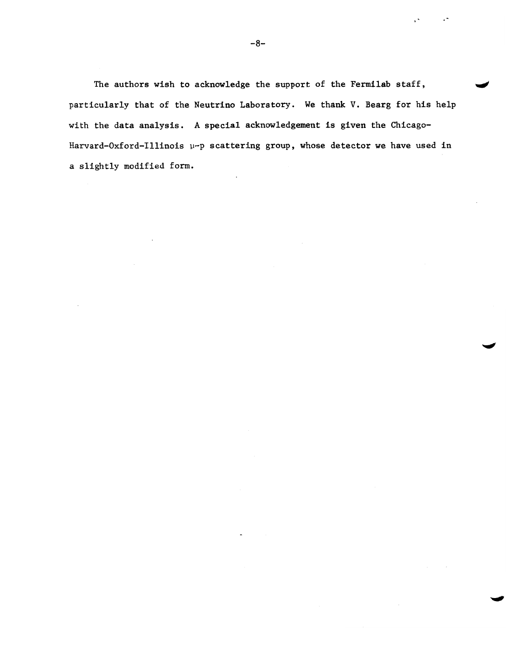The authors wish to acknowledge the support of the Fermilab staff, particularly that of the Neutrino Laboratory. We thank V. Bearg for his help with the data analysis. A special acknowledgement is given the Chicago-Harvard-Oxford-Illinois  $\mu$ -p scattering group, whose detector we have used in a slightly modified form.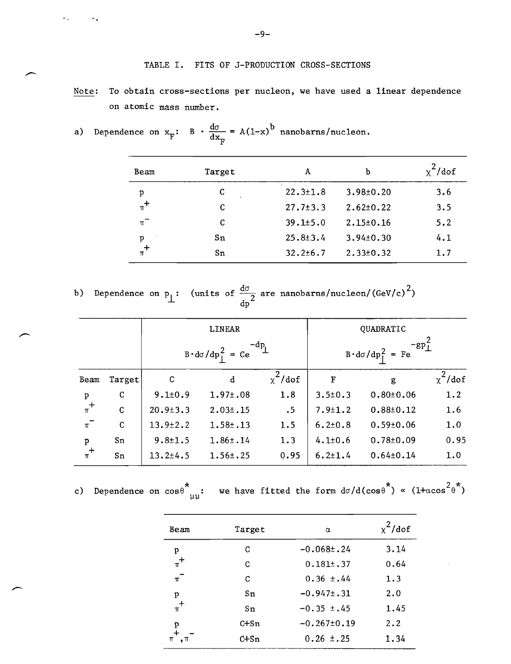# TABLE I. FITS OF J-PRODUCTION CROSS-SECTIONS

Note: To obtain cross-sections per nucleon, we have used a linear dependence on atomic mass number.

| Beam    | Target | A              | b               | /dof |
|---------|--------|----------------|-----------------|------|
| p       | C      | $22.3 \pm 1.8$ | $3.98 \pm 0.20$ | 3.6  |
| $\pi^+$ | C      | $27.7 \pm 3.3$ | $2.62 \pm 0.22$ | 3.5  |
| $\pi^-$ | C      | $39.1 \pm 5.0$ | $2.15 \pm 0.16$ | 5.2  |
| p       | Sn     | $25.8 \pm 3.4$ | $3.94 \pm 0.30$ | 4.1  |
| $\pi^+$ | Sn     | $32.2 \pm 6.7$ | $2.33 \pm 0.32$ | 1.7  |

a) Dependence on 
$$
x_F
$$
: B  $\cdot \frac{d\sigma}{dx_F} = A(1-x)^b$  nanobarns/nucleon.

b) Dependence on p<sub>1</sub>: (units of  $\frac{d\sigma}{2}$  are nanobarns/nucleon/(GeV/c)<sup>2</sup>) dp

|                 |             | <b>LINEAR</b><br>$\mathbf{q}$<br>$B \cdot d\sigma / dp_{\parallel}^{2} = Ce$ |                | QUADRATIC<br>$-gp_1^2$<br>$B \cdot d\sigma/dp_1^2 = Fe$ |               |                 |               |
|-----------------|-------------|------------------------------------------------------------------------------|----------------|---------------------------------------------------------|---------------|-----------------|---------------|
|                 |             |                                                                              |                |                                                         |               |                 |               |
| Beam            | Target      | $\mathbf C$                                                                  | d              | $\chi^2$ /dof                                           | F             | g               | $\chi^2$ /dof |
|                 | C           | $9.1 \pm 0.9$                                                                | $1.97 \pm .08$ | 1.8                                                     | $3.5 \pm 0.3$ | $0.80 \pm 0.06$ | 1.2           |
| $\frac{p}{\pi}$ | $\mathbf C$ | $20.9 \pm 3.3$                                                               | $2.03 \pm .15$ | .5                                                      | $7.9 \pm 1.2$ | $0.88 \pm 0.12$ | 1.6           |
| $\pi^-$         | $\mathbf C$ | $13.9 \pm 2.2$                                                               | $1.58 \pm .13$ | 1.5                                                     | $6.2 \pm 0.8$ | $0.59 \pm 0.06$ | 1.0           |
|                 | Sn          | $9.8 \pm 1.5$                                                                | $1.86 \pm .14$ | 1.3                                                     | $4.1 \pm 0.6$ | $0.78 \pm 0.09$ | 0.95          |
| $\frac{p}{\pi}$ | Sn          | $13.2 \pm 4.5$                                                               | $1.56 \pm .25$ | 0.95                                                    | $6.2 \pm 1.4$ | $0.64 \pm 0.14$ | 1.0           |

c) Dependence on 
$$
\cos \theta^*_{\mu\mu}
$$
: we have fitted the form  $d\sigma/d(\cos \theta^*) \propto (1+\cos^2 \theta^*)$ 

| Beam    | Target | α                 | $x^2$ /dof |
|---------|--------|-------------------|------------|
| p       | C      | $-0.068 \pm .24$  | 3.14       |
| $\pi^+$ | C      | $0.181 \pm .37$   | 0.64       |
| $\pi^-$ | C      | $0.36 \pm .44$    | 1.3        |
| p       | Sn     | $-0.947 \pm .31$  | 2.0        |
| $\pi^+$ | Sn     | $-0.35 \pm .45$   | 1.45       |
| p       | C+Sn   | $-0.267 \pm 0.19$ | 2.2        |
| π<br>π  | C+Sn   | $0.26 \pm .25$    | 1.34       |

-9-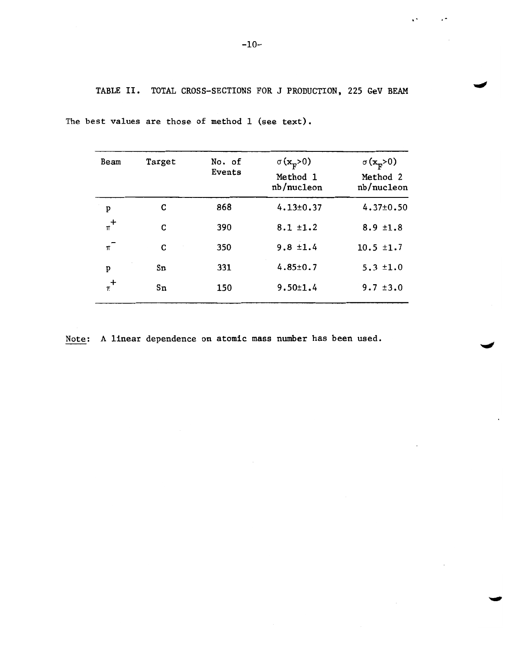TABLE II. TOTAL CROSS-SECTIONS FOR J PRODUCTION, 225 GeV BEAM

| Beam    | Target | No. of<br>Events | $\sigma$ (x <sub>F</sub> >0)<br>Method 1<br>nb/nucleon | $\sigma(\mathbf{x}_{\mathbf{F}}^{\mathbf{>0}})$<br>Method 2<br>nb/nucleon |
|---------|--------|------------------|--------------------------------------------------------|---------------------------------------------------------------------------|
| P       | C      | 868              | $4.13 \pm 0.37$                                        | $4.37 \pm 0.50$                                                           |
| $\pi^+$ | C      | 390              | $8.1 \pm 1.2$                                          | $8.9 \pm 1.8$                                                             |
| $\pi^-$ | C      | 350              | $9.8 \pm 1.4$                                          | $10.5 \pm 1.7$                                                            |
| p       | Sn     | 331              | $4.85 \pm 0.7$                                         | $5.3 \pm 1.0$                                                             |
| $\pi^+$ | Sn     | 150              | $9.50 \pm 1.4$                                         | $9.7 \pm 3.0$                                                             |

The best values are those of method 1 (see text).

Note: A linear dependence on atomic mass number has been used.

"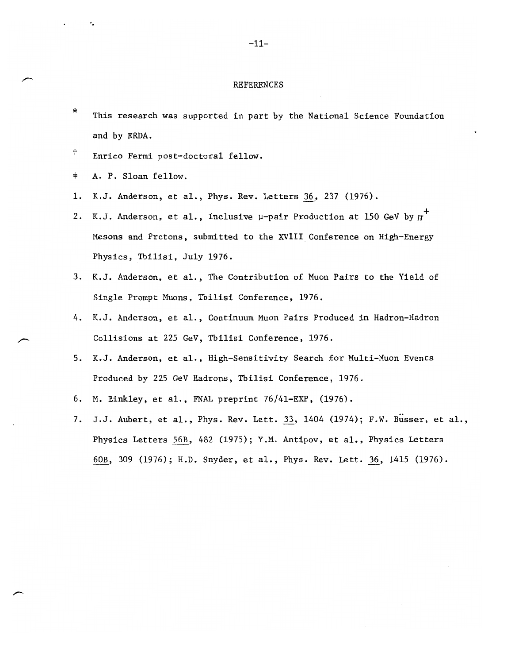#### REFERENCES

- \* This research was supported in part by the National Science Foundation and by ERDA.
- <sup>†</sup> Enrico Fermi post-doctoral fellow.
- $\ddagger$ A. P. Sloan fellow.

-,

- 1. K.J. Anderson, et al., Phys. Rev. Letters 36. 237 (1976).
- 2. K.J. Anderson, et al., Inclusive  $\mu$ -pair Production at 150 GeV by  $\pi^+$ Mesons and Protons, submitted to the XVIII Conference on High-Energy Physics. Tbilisi. July 1976.
- 3. K.J. Anderson, et al., The Contribution of Muon Pairs to the Yield of Single Prompt Muons, Tbilisi Conference, 1976.
- 4. K.J. Anderson, et al., Continuum Muon Pairs Produced in Hadron-Hadron Collisions at 225 GeV. Tbilisi Conference. 1976.
- 5. K.J. Anderson, et al., High-Sensitivity Search for Multi-Muon Events Produced by 225 GeV Hadrons, Tbilisi Conference, 1976.
- 6. M. Binkley, et al., FNAL preprint 76/4l-EXP. (1976).
- 7. J.J. Aubert, et al., Phys. Rev. Lett. 33, 1404 (1974); F.W. Busser, et al., Physics Letters 56B, 482 (1975); Y.M. Antipov, et al., Physics Letters 60B. 309 (1976); H.D. Snyder, et al., Phys. Rev. Lett. 36, 1415 (1976).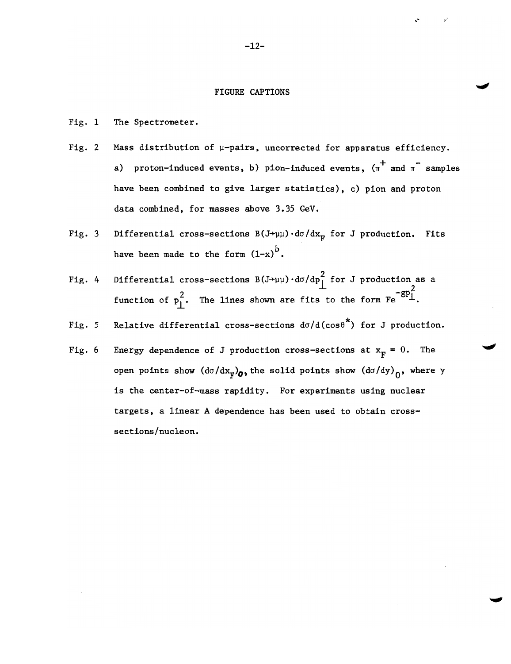## FIGURE CAPTIONS

Fig. 1 The Spectrometer.

- Fig. 2 Mass distribution of  $\mu$ -pairs, uncorrected for apparatus efficiency. a) proton-induced events, b) pion-induced events,  $(\pi^+$  and  $\pi^-$  samples have been combined to give larger statistics), c) pion and proton data combined, for masses above 3.35 GeV.
- Fig. 3 Differential cross-sections  $B(J\rightarrow \mu\mu) \cdot d\sigma/dx_{\overline{n}}$  for J production. Fits have been made to the form  $(1-x)^b$ .
- Fig. 4 Differential cross-sections  $B(J+\mu\mu) \cdot d\sigma/dp_{\perp}^2$  for J production as a function of  $p_1^2$ . The lines shown are fits to the form  $Fe^{-8P}$

Fig. 5 Relative differential cross-sections  $d\sigma/d(\cos\theta^{\star})$  for J production.

Fig. 6 Energy dependence of J production cross-sections at  $x_F = 0$ . The open points show  $(d\sigma/dx_F)_{\sigma}$ , the solid points show  $(d\sigma/dy)_{\sigma}$ , where y is the center-of-mass rapidity. For experiments using nuclear targets, a linear A dependence has been used to obtain crosssections/nucleon.

-12-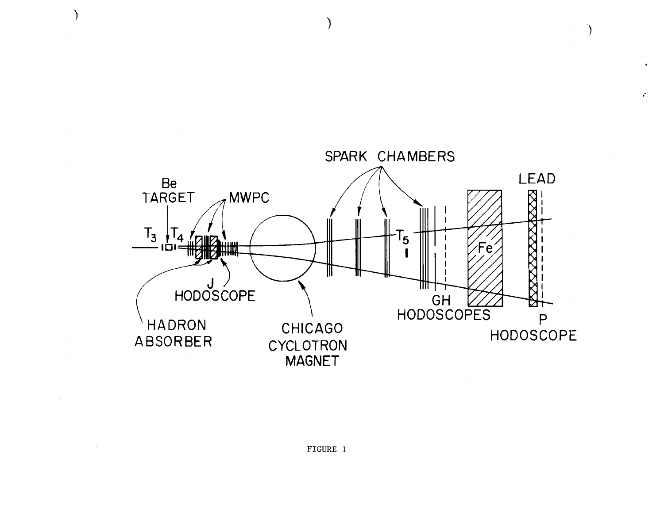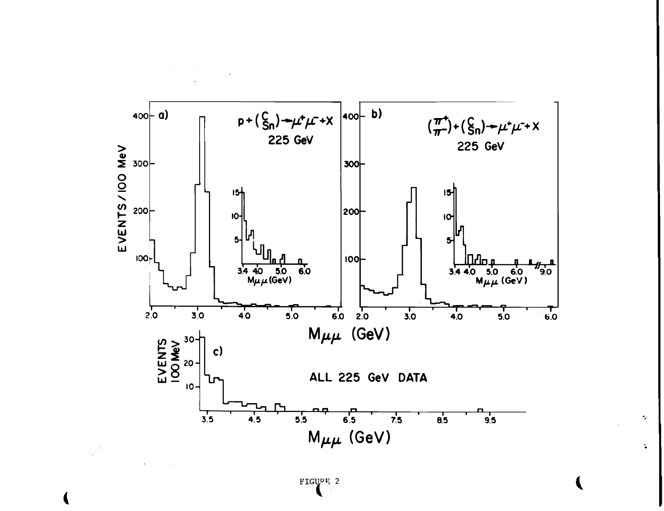

 $\sigma_{\rm eff}$ 

 $\mathbf{L}$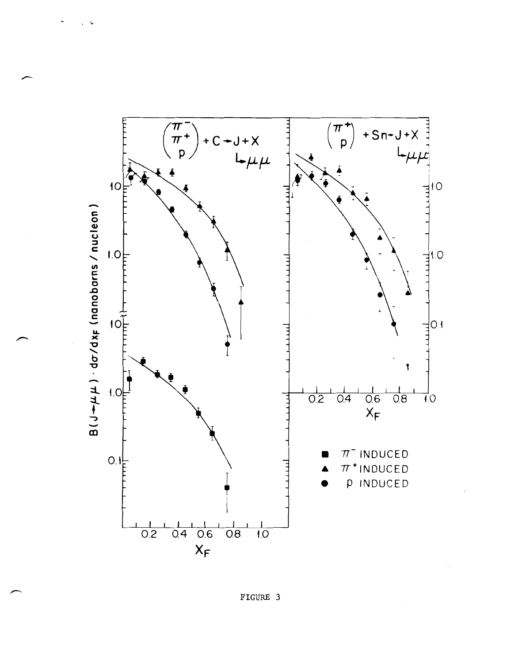

FIGURE 3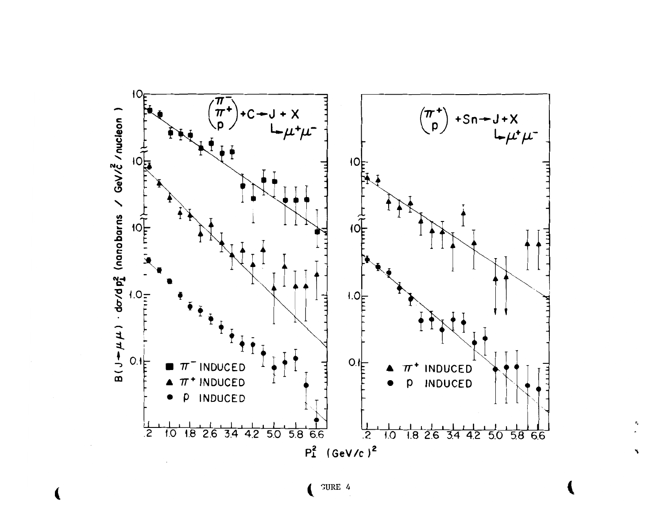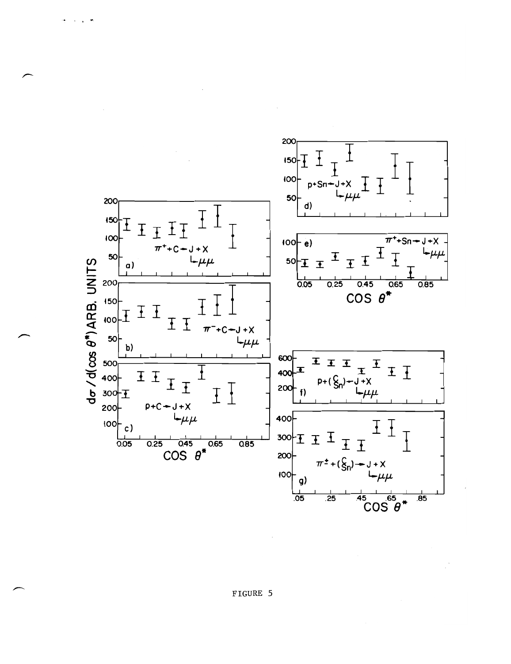